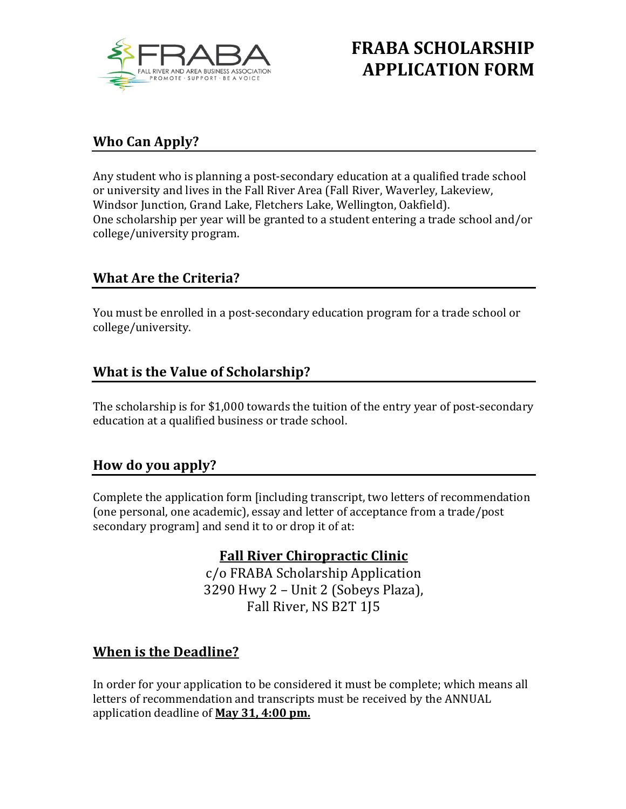

# **FRABA SCHOLARSHIP APPLICATION FORM**

### **Who Can Apply?**

Any student who is planning a post-secondary education at a qualified trade school or university and lives in the Fall River Area (Fall River, Waverley, Lakeview, Windsor Junction, Grand Lake, Fletchers Lake, Wellington, Oakfield). One scholarship per year will be granted to a student entering a trade school and/or college/university program. 

#### **What Are the Criteria?**

You must be enrolled in a post-secondary education program for a trade school or college/university. 

### **What is the Value of Scholarship?**

The scholarship is for \$1,000 towards the tuition of the entry year of post-secondary education at a qualified business or trade school.

#### **How do you apply?**

Complete the application form [including transcript, two letters of recommendation (one personal, one academic), essay and letter of acceptance from a trade/post secondary program] and send it to or drop it of at:

#### **Fall River Chiropractic Clinic**

c/o FRABA Scholarship Application 3290 Hwy 2 - Unit 2 (Sobeys Plaza), Fall River, NS B2T 1J5

### **When is the Deadline?**

In order for your application to be considered it must be complete; which means all letters of recommendation and transcripts must be received by the ANNUAL application deadline of **May 31, 4:00 pm.**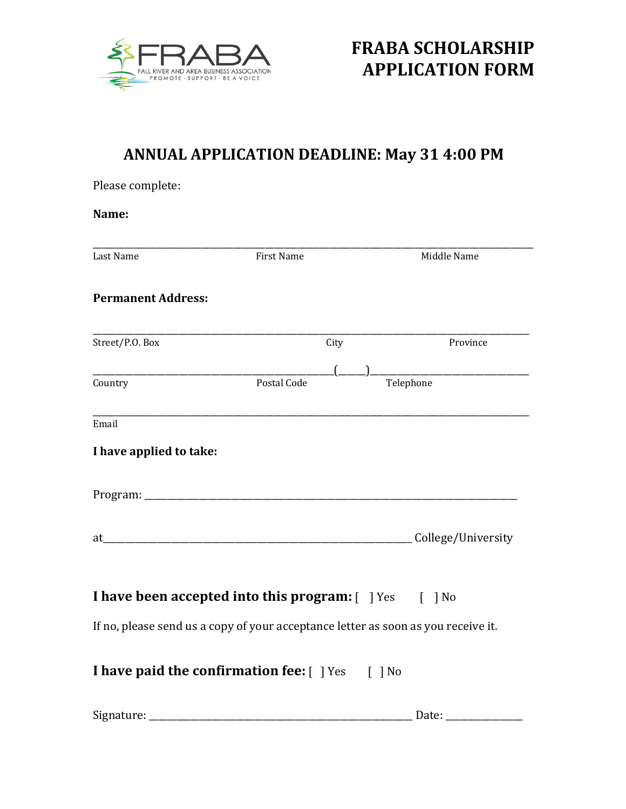

Please complete:

## **ANNUAL APPLICATION DEADLINE: May 31 4:00 PM**

| Name:                                                                                                                                                                                                                          |                                                                                   |                    |
|--------------------------------------------------------------------------------------------------------------------------------------------------------------------------------------------------------------------------------|-----------------------------------------------------------------------------------|--------------------|
| Last Name                                                                                                                                                                                                                      | <b>First Name</b>                                                                 | Middle Name        |
| <b>Permanent Address:</b>                                                                                                                                                                                                      |                                                                                   |                    |
| Street/P.O. Box                                                                                                                                                                                                                | City                                                                              | Province           |
| Country                                                                                                                                                                                                                        | Postal Code                                                                       | Telephone          |
| Email                                                                                                                                                                                                                          |                                                                                   |                    |
| I have applied to take:                                                                                                                                                                                                        |                                                                                   |                    |
|                                                                                                                                                                                                                                |                                                                                   |                    |
| at the contract of the contract of the contract of the contract of the contract of the contract of the contract of the contract of the contract of the contract of the contract of the contract of the contract of the contrac |                                                                                   | College/University |
|                                                                                                                                                                                                                                | <b>I have been accepted into this program:</b> [ ] Yes [ ] No                     |                    |
|                                                                                                                                                                                                                                | If no, please send us a copy of your acceptance letter as soon as you receive it. |                    |
|                                                                                                                                                                                                                                | I have paid the confirmation fee: [ ] Yes [ ] No                                  |                    |
|                                                                                                                                                                                                                                |                                                                                   |                    |